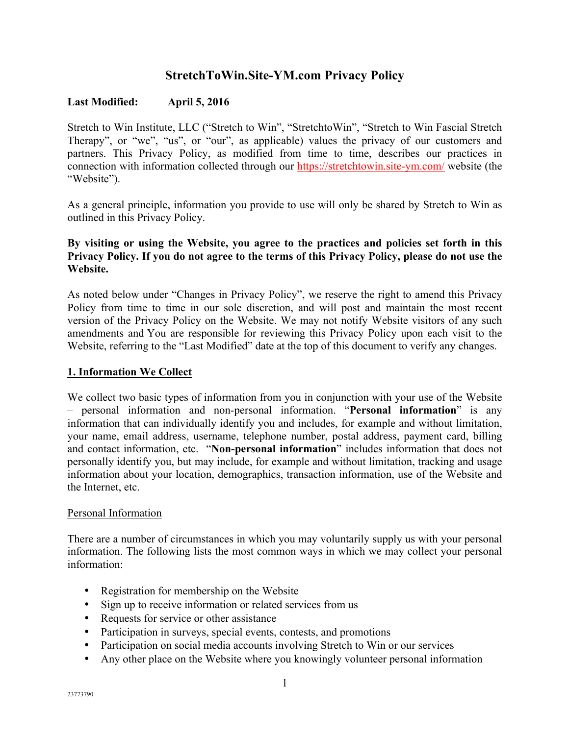# **StretchToWin.Site-YM.com Privacy Policy**

### **Last Modified: April 5, 2016**

Stretch to Win Institute, LLC ("Stretch to Win", "StretchtoWin", "Stretch to Win Fascial Stretch Therapy", or "we", "us", or "our", as applicable) values the privacy of our customers and partners. This Privacy Policy, as modified from time to time, describes our practices in connection with information collected through our https://stretchtowin.site-ym.com/ website (the "Website").

As a general principle, information you provide to use will only be shared by Stretch to Win as outlined in this Privacy Policy.

### **By visiting or using the Website, you agree to the practices and policies set forth in this Privacy Policy. If you do not agree to the terms of this Privacy Policy, please do not use the Website.**

As noted below under "Changes in Privacy Policy", we reserve the right to amend this Privacy Policy from time to time in our sole discretion, and will post and maintain the most recent version of the Privacy Policy on the Website. We may not notify Website visitors of any such amendments and You are responsible for reviewing this Privacy Policy upon each visit to the Website, referring to the "Last Modified" date at the top of this document to verify any changes.

### **1. Information We Collect**

We collect two basic types of information from you in conjunction with your use of the Website – personal information and non-personal information. "**Personal information**" is any information that can individually identify you and includes, for example and without limitation, your name, email address, username, telephone number, postal address, payment card, billing and contact information, etc. "**Non-personal information**" includes information that does not personally identify you, but may include, for example and without limitation, tracking and usage information about your location, demographics, transaction information, use of the Website and the Internet, etc.

### Personal Information

There are a number of circumstances in which you may voluntarily supply us with your personal information. The following lists the most common ways in which we may collect your personal information:

- Registration for membership on the Website
- Sign up to receive information or related services from us
- Requests for service or other assistance
- Participation in surveys, special events, contests, and promotions
- Participation on social media accounts involving Stretch to Win or our services
- Any other place on the Website where you knowingly volunteer personal information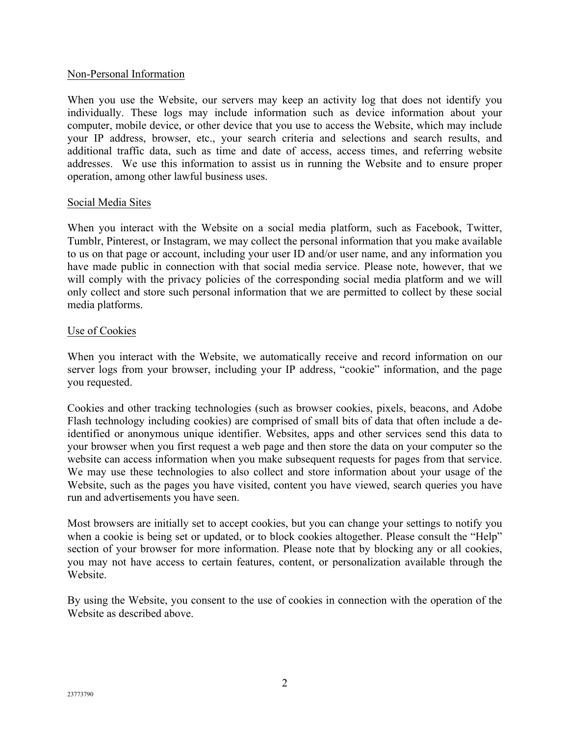### Non-Personal Information

When you use the Website, our servers may keep an activity log that does not identify you individually. These logs may include information such as device information about your computer, mobile device, or other device that you use to access the Website, which may include your IP address, browser, etc., your search criteria and selections and search results, and additional traffic data, such as time and date of access, access times, and referring website addresses. We use this information to assist us in running the Website and to ensure proper operation, among other lawful business uses.

### Social Media Sites

When you interact with the Website on a social media platform, such as Facebook, Twitter, Tumblr, Pinterest, or Instagram, we may collect the personal information that you make available to us on that page or account, including your user ID and/or user name, and any information you have made public in connection with that social media service. Please note, however, that we will comply with the privacy policies of the corresponding social media platform and we will only collect and store such personal information that we are permitted to collect by these social media platforms.

### Use of Cookies

When you interact with the Website, we automatically receive and record information on our server logs from your browser, including your IP address, "cookie" information, and the page you requested.

Cookies and other tracking technologies (such as browser cookies, pixels, beacons, and Adobe Flash technology including cookies) are comprised of small bits of data that often include a deidentified or anonymous unique identifier. Websites, apps and other services send this data to your browser when you first request a web page and then store the data on your computer so the website can access information when you make subsequent requests for pages from that service. We may use these technologies to also collect and store information about your usage of the Website, such as the pages you have visited, content you have viewed, search queries you have run and advertisements you have seen.

Most browsers are initially set to accept cookies, but you can change your settings to notify you when a cookie is being set or updated, or to block cookies altogether. Please consult the "Help" section of your browser for more information. Please note that by blocking any or all cookies, you may not have access to certain features, content, or personalization available through the Website.

By using the Website, you consent to the use of cookies in connection with the operation of the Website as described above.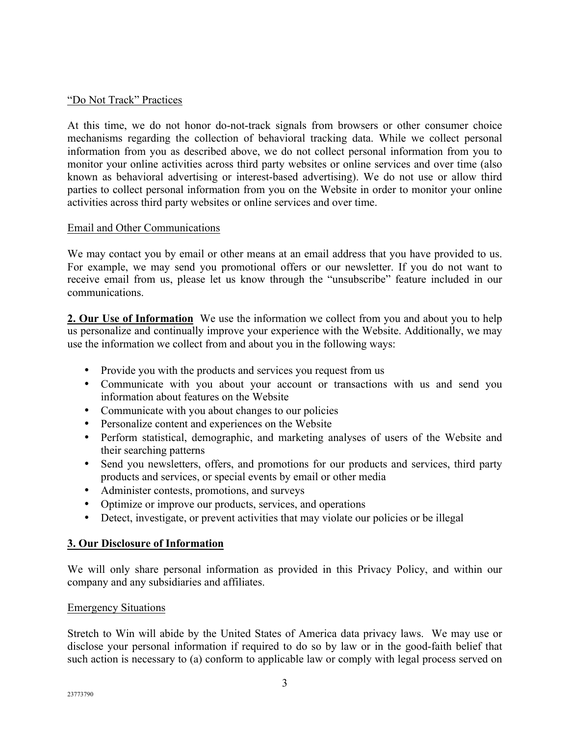### "Do Not Track" Practices

At this time, we do not honor do-not-track signals from browsers or other consumer choice mechanisms regarding the collection of behavioral tracking data. While we collect personal information from you as described above, we do not collect personal information from you to monitor your online activities across third party websites or online services and over time (also known as behavioral advertising or interest-based advertising). We do not use or allow third parties to collect personal information from you on the Website in order to monitor your online activities across third party websites or online services and over time.

### Email and Other Communications

We may contact you by email or other means at an email address that you have provided to us. For example, we may send you promotional offers or our newsletter. If you do not want to receive email from us, please let us know through the "unsubscribe" feature included in our communications.

**2. Our Use of Information** We use the information we collect from you and about you to help us personalize and continually improve your experience with the Website. Additionally, we may use the information we collect from and about you in the following ways:

- Provide you with the products and services you request from us
- Communicate with you about your account or transactions with us and send you information about features on the Website
- Communicate with you about changes to our policies
- Personalize content and experiences on the Website
- Perform statistical, demographic, and marketing analyses of users of the Website and their searching patterns
- Send you newsletters, offers, and promotions for our products and services, third party products and services, or special events by email or other media
- Administer contests, promotions, and surveys
- Optimize or improve our products, services, and operations
- Detect, investigate, or prevent activities that may violate our policies or be illegal

### **3. Our Disclosure of Information**

We will only share personal information as provided in this Privacy Policy, and within our company and any subsidiaries and affiliates.

### Emergency Situations

Stretch to Win will abide by the United States of America data privacy laws. We may use or disclose your personal information if required to do so by law or in the good-faith belief that such action is necessary to (a) conform to applicable law or comply with legal process served on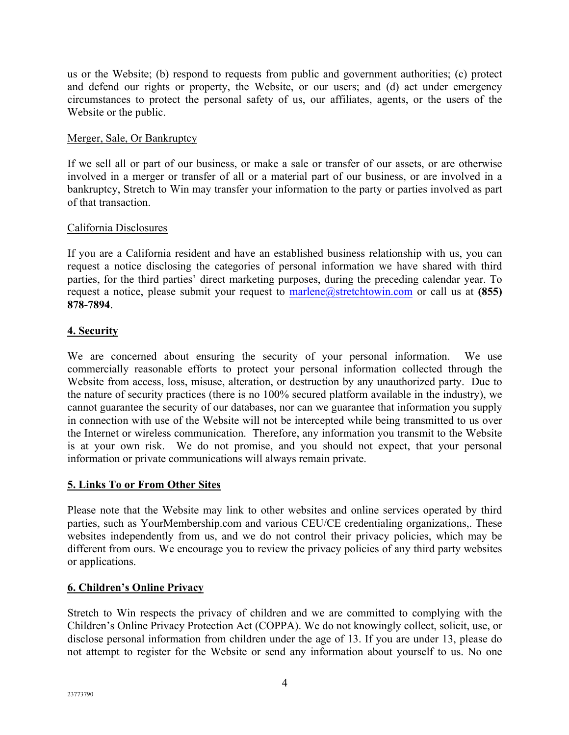us or the Website; (b) respond to requests from public and government authorities; (c) protect and defend our rights or property, the Website, or our users; and (d) act under emergency circumstances to protect the personal safety of us, our affiliates, agents, or the users of the Website or the public.

### Merger, Sale, Or Bankruptcy

If we sell all or part of our business, or make a sale or transfer of our assets, or are otherwise involved in a merger or transfer of all or a material part of our business, or are involved in a bankruptcy, Stretch to Win may transfer your information to the party or parties involved as part of that transaction.

### California Disclosures

If you are a California resident and have an established business relationship with us, you can request a notice disclosing the categories of personal information we have shared with third parties, for the third parties' direct marketing purposes, during the preceding calendar year. To request a notice, please submit your request to marlene@stretchtowin.com or call us at **(855) 878-7894**.

### **4. Security**

We are concerned about ensuring the security of your personal information. We use commercially reasonable efforts to protect your personal information collected through the Website from access, loss, misuse, alteration, or destruction by any unauthorized party. Due to the nature of security practices (there is no 100% secured platform available in the industry), we cannot guarantee the security of our databases, nor can we guarantee that information you supply in connection with use of the Website will not be intercepted while being transmitted to us over the Internet or wireless communication. Therefore, any information you transmit to the Website is at your own risk. We do not promise, and you should not expect, that your personal information or private communications will always remain private.

### **5. Links To or From Other Sites**

Please note that the Website may link to other websites and online services operated by third parties, such as YourMembership.com and various CEU/CE credentialing organizations,. These websites independently from us, and we do not control their privacy policies, which may be different from ours. We encourage you to review the privacy policies of any third party websites or applications.

### **6. Children's Online Privacy**

Stretch to Win respects the privacy of children and we are committed to complying with the Children's Online Privacy Protection Act (COPPA). We do not knowingly collect, solicit, use, or disclose personal information from children under the age of 13. If you are under 13, please do not attempt to register for the Website or send any information about yourself to us. No one